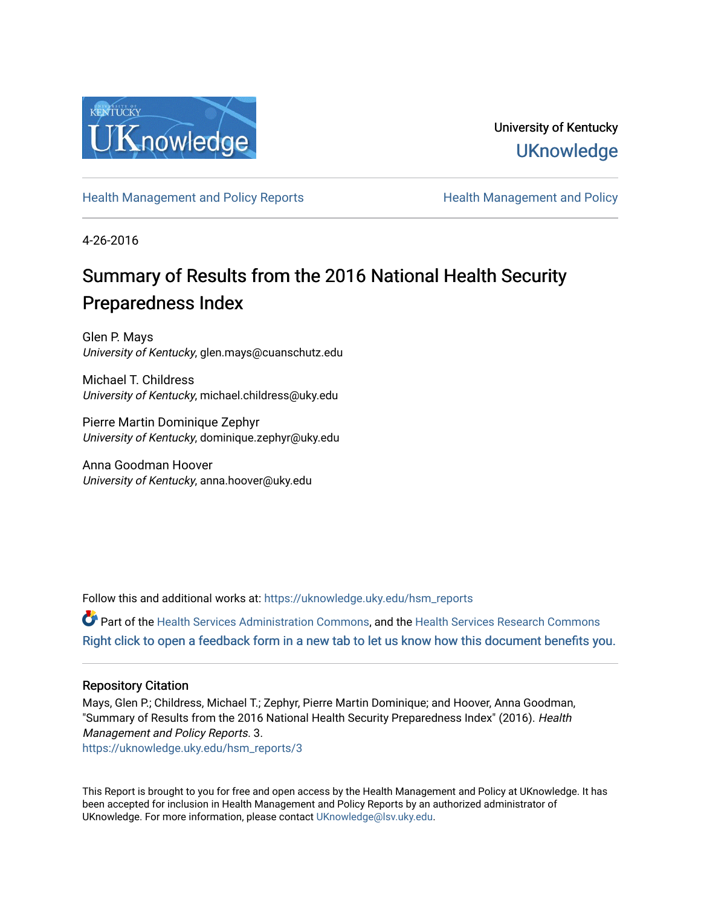

University of Kentucky **UKnowledge** 

[Health Management and Policy Reports](https://uknowledge.uky.edu/hsm_reports) **Health Management and Policy Health Management and Policy** 

4-26-2016

## Summary of Results from the 2016 National Health Security Preparedness Index

Glen P. Mays University of Kentucky, glen.mays@cuanschutz.edu

Michael T. Childress University of Kentucky, michael.childress@uky.edu

Pierre Martin Dominique Zephyr University of Kentucky, dominique.zephyr@uky.edu

Anna Goodman Hoover University of Kentucky, anna.hoover@uky.edu

Follow this and additional works at: [https://uknowledge.uky.edu/hsm\\_reports](https://uknowledge.uky.edu/hsm_reports?utm_source=uknowledge.uky.edu%2Fhsm_reports%2F3&utm_medium=PDF&utm_campaign=PDFCoverPages)

Part of the [Health Services Administration Commons,](http://network.bepress.com/hgg/discipline/747?utm_source=uknowledge.uky.edu%2Fhsm_reports%2F3&utm_medium=PDF&utm_campaign=PDFCoverPages) and the [Health Services Research Commons](http://network.bepress.com/hgg/discipline/816?utm_source=uknowledge.uky.edu%2Fhsm_reports%2F3&utm_medium=PDF&utm_campaign=PDFCoverPages) [Right click to open a feedback form in a new tab to let us know how this document benefits you.](https://uky.az1.qualtrics.com/jfe/form/SV_9mq8fx2GnONRfz7)

#### Repository Citation

Mays, Glen P.; Childress, Michael T.; Zephyr, Pierre Martin Dominique; and Hoover, Anna Goodman, "Summary of Results from the 2016 National Health Security Preparedness Index" (2016). Health Management and Policy Reports. 3.

[https://uknowledge.uky.edu/hsm\\_reports/3](https://uknowledge.uky.edu/hsm_reports/3?utm_source=uknowledge.uky.edu%2Fhsm_reports%2F3&utm_medium=PDF&utm_campaign=PDFCoverPages)

This Report is brought to you for free and open access by the Health Management and Policy at UKnowledge. It has been accepted for inclusion in Health Management and Policy Reports by an authorized administrator of UKnowledge. For more information, please contact [UKnowledge@lsv.uky.edu](mailto:UKnowledge@lsv.uky.edu).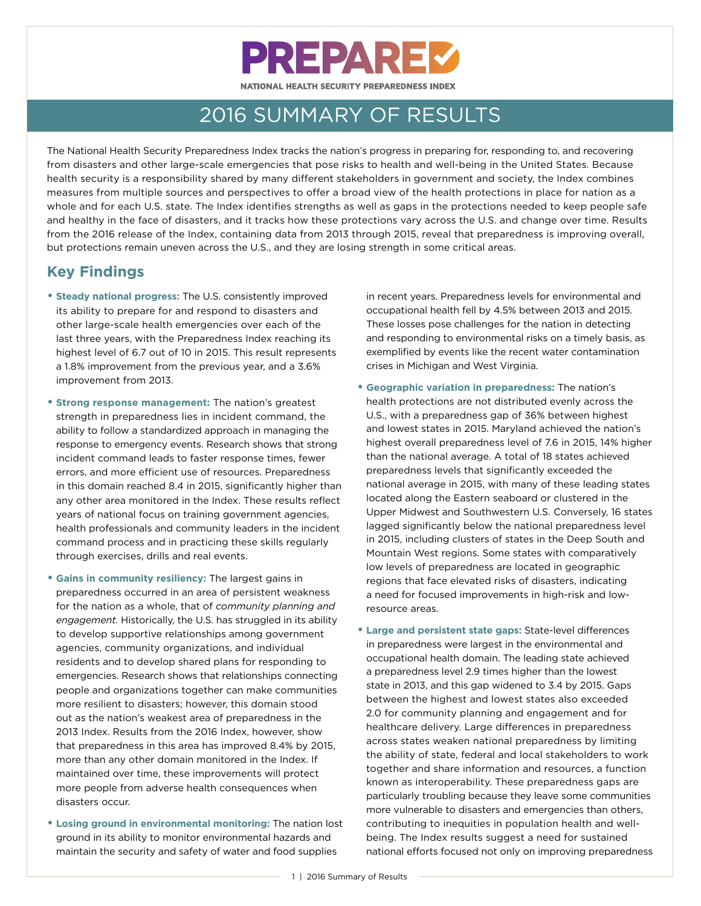# **PREPAREZ** NATIONAL HEALTH SECURITY PREPAREDNESS INDEX

2016 SUMMARY OF RESULTS

The National Health Security Preparedness Index tracks the nation's progress in preparing for, responding to, and recovering from disasters and other large-scale emergencies that pose risks to health and well-being in the United States. Because health security is a responsibility shared by many different stakeholders in government and society, the Index combines measures from multiple sources and perspectives to offer a broad view of the health protections in place for nation as a whole and for each U.S. state. The Index identifies strengths as well as gaps in the protections needed to keep people safe and healthy in the face of disasters, and it tracks how these protections vary across the U.S. and change over time. Results from the 2016 release of the Index, containing data from 2013 through 2015, reveal that preparedness is improving overall, but protections remain uneven across the U.S., and they are losing strength in some critical areas.

## **Key Findings**

- **Steady national progress:** The U.S. consistently improved its ability to prepare for and respond to disasters and other large-scale health emergencies over each of the last three years, with the Preparedness Index reaching its highest level of 6.7 out of 10 in 2015. This result represents a 1.8% improvement from the previous year, and a 3.6% improvement from 2013.
- **Strong response management:** The nation's greatest strength in preparedness lies in incident command, the ability to follow a standardized approach in managing the response to emergency events. Research shows that strong incident command leads to faster response times, fewer errors, and more efficient use of resources. Preparedness in this domain reached 8.4 in 2015, significantly higher than any other area monitored in the Index. These results reflect years of national focus on training government agencies, health professionals and community leaders in the incident command process and in practicing these skills regularly through exercises, drills and real events.
- **Gains in community resiliency:** The largest gains in preparedness occurred in an area of persistent weakness for the nation as a whole, that of *community planning and engagement.* Historically, the U.S. has struggled in its ability to develop supportive relationships among government agencies, community organizations, and individual residents and to develop shared plans for responding to emergencies. Research shows that relationships connecting people and organizations together can make communities more resilient to disasters; however, this domain stood out as the nation's weakest area of preparedness in the 2013 Index. Results from the 2016 Index, however, show that preparedness in this area has improved 8.4% by 2015, more than any other domain monitored in the Index. If maintained over time, these improvements will protect more people from adverse health consequences when disasters occur.
- **Losing ground in environmental monitoring:** The nation lost ground in its ability to monitor environmental hazards and maintain the security and safety of water and food supplies

in recent years. Preparedness levels for environmental and occupational health fell by 4.5% between 2013 and 2015. These losses pose challenges for the nation in detecting and responding to environmental risks on a timely basis, as exemplified by events like the recent water contamination crises in Michigan and West Virginia.

- **Geographic variation in preparedness:** The nation's health protections are not distributed evenly across the U.S., with a preparedness gap of 36% between highest and lowest states in 2015. Maryland achieved the nation's highest overall preparedness level of 7.6 in 2015, 14% higher than the national average. A total of 18 states achieved preparedness levels that significantly exceeded the national average in 2015, with many of these leading states located along the Eastern seaboard or clustered in the Upper Midwest and Southwestern U.S. Conversely, 16 states lagged significantly below the national preparedness level in 2015, including clusters of states in the Deep South and Mountain West regions. Some states with comparatively low levels of preparedness are located in geographic regions that face elevated risks of disasters, indicating a need for focused improvements in high-risk and lowresource areas.
- **Large and persistent state gaps:** State-level differences in preparedness were largest in the environmental and occupational health domain. The leading state achieved a preparedness level 2.9 times higher than the lowest state in 2013, and this gap widened to 3.4 by 2015. Gaps between the highest and lowest states also exceeded 2.0 for community planning and engagement and for healthcare delivery. Large differences in preparedness across states weaken national preparedness by limiting the ability of state, federal and local stakeholders to work together and share information and resources, a function known as interoperability. These preparedness gaps are particularly troubling because they leave some communities more vulnerable to disasters and emergencies than others, contributing to inequities in population health and wellbeing. The Index results suggest a need for sustained national efforts focused not only on improving preparedness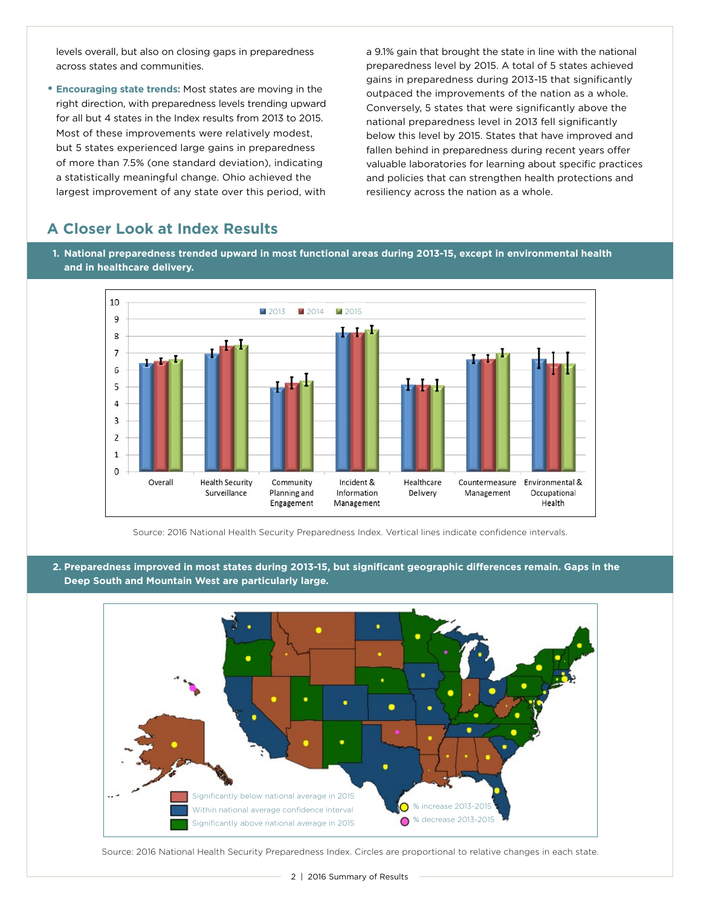levels overall, but also on closing gaps in preparedness across states and communities.

• **Encouraging state trends:** Most states are moving in the right direction, with preparedness levels trending upward for all but 4 states in the Index results from 2013 to 2015. Most of these improvements were relatively modest, but 5 states experienced large gains in preparedness of more than 7.5% (one standard deviation), indicating a statistically meaningful change. Ohio achieved the largest improvement of any state over this period, with

a 9.1% gain that brought the state in line with the national preparedness level by 2015. A total of 5 states achieved gains in preparedness during 2013-15 that significantly outpaced the improvements of the nation as a whole. Conversely, 5 states that were significantly above the national preparedness level in 2013 fell significantly below this level by 2015. States that have improved and fallen behind in preparedness during recent years offer valuable laboratories for learning about specific practices and policies that can strengthen health protections and resiliency across the nation as a whole.

## **A Closer Look at Index Results**

**1. National preparedness trended upward in most functional areas during 2013-15, except in environmental health and in healthcare delivery.** 



Source: 2016 National Health Security Preparedness Index. Vertical lines indicate confidence intervals.

**2. Preparedness improved in most states during 2013-15, but significant geographic differences remain. Gaps in the Deep South and Mountain West are particularly large.** 



Source: 2016 National Health Security Preparedness Index. Circles are proportional to relative changes in each state.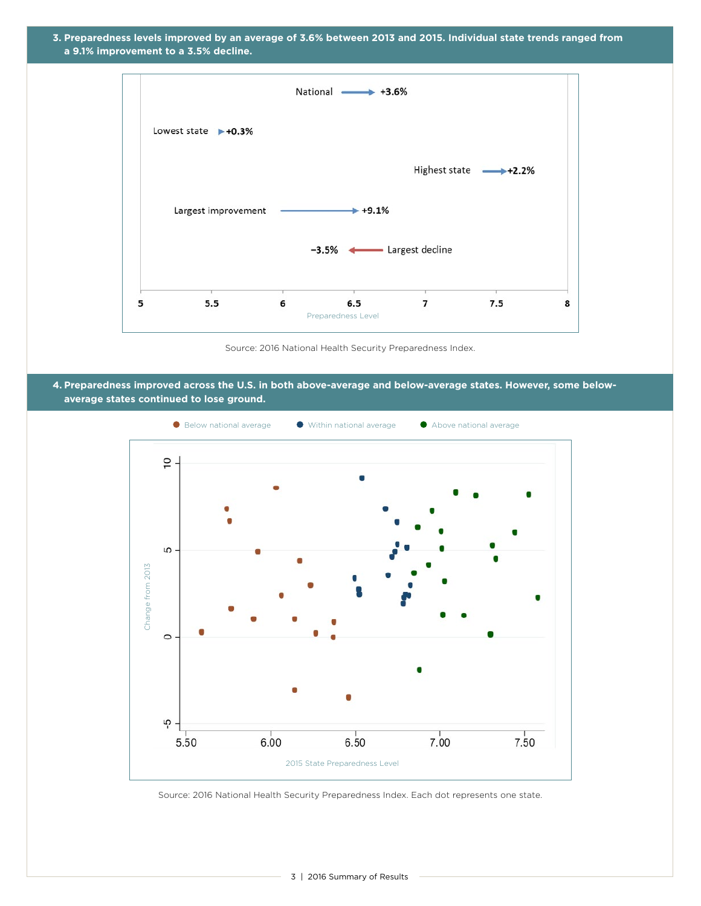



Source: 2016 National Health Security Preparedness Index.

**4. Preparedness improved across the U.S. in both above-average and below-average states. However, some belowaverage states continued to lose ground.** 



Source: 2016 National Health Security Preparedness Index. Each dot represents one state.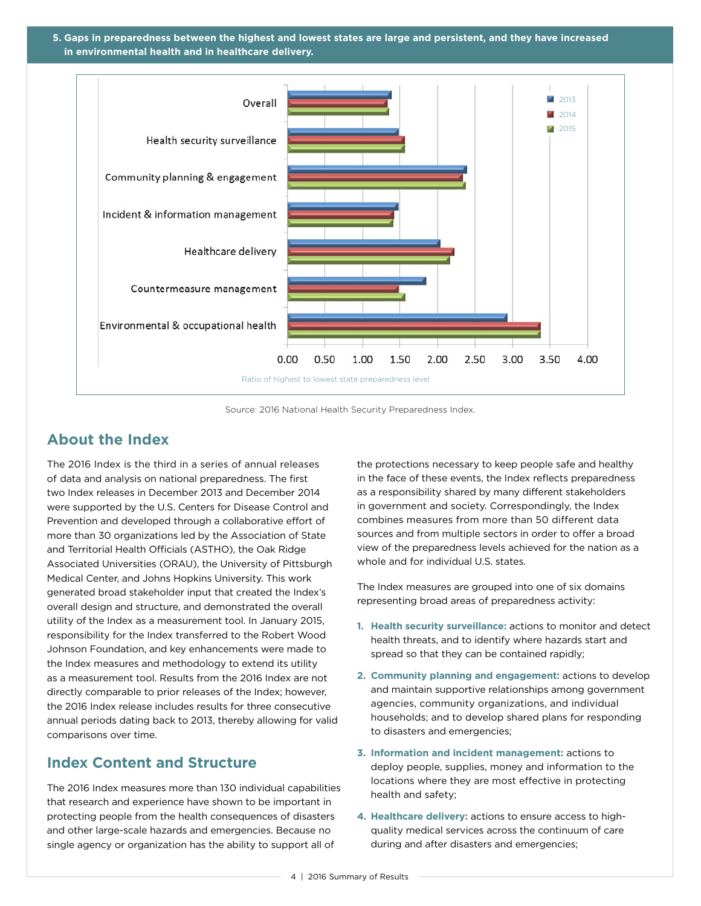**5. Gaps in preparedness between the highest and lowest states are large and persistent, and they have increased in environmental health and in healthcare delivery.** 



Source: 2016 National Health Security Preparedness Index.

#### **About the Index**

The 2016 Index is the third in a series of annual releases of data and analysis on national preparedness. The first two Index releases in December 2013 and December 2014 were supported by the U.S. Centers for Disease Control and Prevention and developed through a collaborative effort of more than 30 organizations led by the Association of State and Territorial Health Officials (ASTHO), the Oak Ridge Associated Universities (ORAU), the University of Pittsburgh Medical Center, and Johns Hopkins University. This work generated broad stakeholder input that created the Index's overall design and structure, and demonstrated the overall utility of the Index as a measurement tool. In January 2015, responsibility for the Index transferred to the Robert Wood Johnson Foundation, and key enhancements were made to the Index measures and methodology to extend its utility as a measurement tool. Results from the 2016 Index are not directly comparable to prior releases of the Index; however, the 2016 Index release includes results for three consecutive annual periods dating back to 2013, thereby allowing for valid comparisons over time.

#### **Index Content and Structure**

The 2016 Index measures more than 130 individual capabilities that research and experience have shown to be important in protecting people from the health consequences of disasters and other large-scale hazards and emergencies. Because no single agency or organization has the ability to support all of

the protections necessary to keep people safe and healthy in the face of these events, the Index reflects preparedness as a responsibility shared by many different stakeholders in government and society. Correspondingly, the Index combines measures from more than 50 different data sources and from multiple sectors in order to offer a broad view of the preparedness levels achieved for the nation as a whole and for individual U.S. states.

The Index measures are grouped into one of six domains representing broad areas of preparedness activity:

- **1. Health security surveillance:** actions to monitor and detect health threats, and to identify where hazards start and spread so that they can be contained rapidly;
- **2. Community planning and engagement:** actions to develop and maintain supportive relationships among government agencies, community organizations, and individual households; and to develop shared plans for responding to disasters and emergencies;
- **3. Information and incident management:** actions to deploy people, supplies, money and information to the locations where they are most effective in protecting health and safety;
- **4. Healthcare delivery:** actions to ensure access to highquality medical services across the continuum of care during and after disasters and emergencies;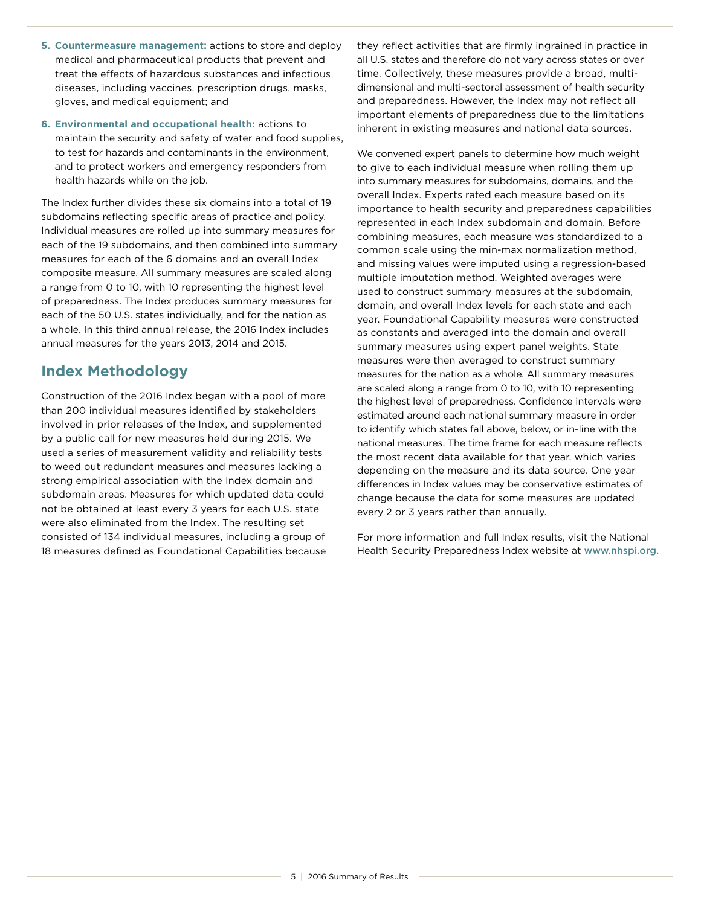- **5. Countermeasure management:** actions to store and deploy medical and pharmaceutical products that prevent and treat the effects of hazardous substances and infectious diseases, including vaccines, prescription drugs, masks, gloves, and medical equipment; and
- **6. Environmental and occupational health:** actions to maintain the security and safety of water and food supplies, to test for hazards and contaminants in the environment, and to protect workers and emergency responders from health hazards while on the job.

The Index further divides these six domains into a total of 19 subdomains reflecting specific areas of practice and policy. Individual measures are rolled up into summary measures for each of the 19 subdomains, and then combined into summary measures for each of the 6 domains and an overall Index composite measure. All summary measures are scaled along a range from 0 to 10, with 10 representing the highest level of preparedness. The Index produces summary measures for each of the 50 U.S. states individually, and for the nation as a whole. In this third annual release, the 2016 Index includes annual measures for the years 2013, 2014 and 2015.

## **Index Methodology**

Construction of the 2016 Index began with a pool of more than 200 individual measures identified by stakeholders involved in prior releases of the Index, and supplemented by a public call for new measures held during 2015. We used a series of measurement validity and reliability tests to weed out redundant measures and measures lacking a strong empirical association with the Index domain and subdomain areas. Measures for which updated data could not be obtained at least every 3 years for each U.S. state were also eliminated from the Index. The resulting set consisted of 134 individual measures, including a group of 18 measures defined as Foundational Capabilities because they reflect activities that are firmly ingrained in practice in all U.S. states and therefore do not vary across states or over time. Collectively, these measures provide a broad, multidimensional and multi-sectoral assessment of health security and preparedness. However, the Index may not reflect all important elements of preparedness due to the limitations inherent in existing measures and national data sources.

We convened expert panels to determine how much weight to give to each individual measure when rolling them up into summary measures for subdomains, domains, and the overall Index. Experts rated each measure based on its importance to health security and preparedness capabilities represented in each Index subdomain and domain. Before combining measures, each measure was standardized to a common scale using the min-max normalization method, and missing values were imputed using a regression-based multiple imputation method. Weighted averages were used to construct summary measures at the subdomain, domain, and overall Index levels for each state and each year. Foundational Capability measures were constructed as constants and averaged into the domain and overall summary measures using expert panel weights. State measures were then averaged to construct summary measures for the nation as a whole. All summary measures are scaled along a range from 0 to 10, with 10 representing the highest level of preparedness. Confidence intervals were estimated around each national summary measure in order to identify which states fall above, below, or in-line with the national measures. The time frame for each measure reflects the most recent data available for that year, which varies depending on the measure and its data source. One year differences in Index values may be conservative estimates of change because the data for some measures are updated every 2 or 3 years rather than annually.

For more information and full Index results, visit the National Health Security Preparedness Index website at [www.nhspi.org.](http://www.nhspi.org)